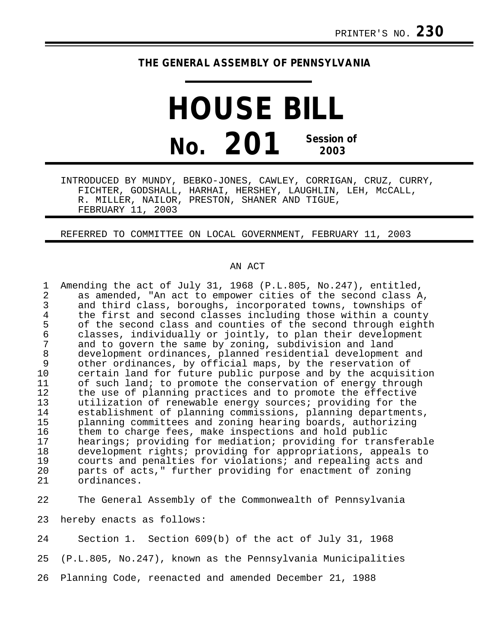## **THE GENERAL ASSEMBLY OF PENNSYLVANIA**

**HOUSE BILL No. 201 Session of 2003**

INTRODUCED BY MUNDY, BEBKO-JONES, CAWLEY, CORRIGAN, CRUZ, CURRY, FICHTER, GODSHALL, HARHAI, HERSHEY, LAUGHLIN, LEH, McCALL, R. MILLER, NAILOR, PRESTON, SHANER AND TIGUE, FEBRUARY 11, 2003

REFERRED TO COMMITTEE ON LOCAL GOVERNMENT, FEBRUARY 11, 2003

## AN ACT

| 1<br>$\sqrt{2}$ | Amending the act of July 31, 1968 (P.L.805, No.247), entitled,<br>as amended, "An act to empower cities of the second class A, |
|-----------------|--------------------------------------------------------------------------------------------------------------------------------|
| 3               | and third class, boroughs, incorporated towns, townships of                                                                    |
| $\overline{4}$  | the first and second classes including those within a county                                                                   |
| 5               | of the second class and counties of the second through eighth                                                                  |
| $\epsilon$      | classes, individually or jointly, to plan their development                                                                    |
| $\overline{7}$  | and to govern the same by zoning, subdivision and land                                                                         |
| $\,8\,$         | development ordinances, planned residential development and                                                                    |
| 9               | other ordinances, by official maps, by the reservation of                                                                      |
| 10              | certain land for future public purpose and by the acquisition                                                                  |
| 11              | of such land; to promote the conservation of energy through                                                                    |
| 12              | the use of planning practices and to promote the effective                                                                     |
| 13              | utilization of renewable energy sources; providing for the                                                                     |
| 14              | establishment of planning commissions, planning departments,                                                                   |
| 15              | planning committees and zoning hearing boards, authorizing                                                                     |
| 16              | them to charge fees, make inspections and hold public                                                                          |
| 17              | hearings; providing for mediation; providing for transferable                                                                  |
| 18              | development rights; providing for appropriations, appeals to                                                                   |
| 19              | courts and penalties for violations; and repealing acts and                                                                    |
| 20              | parts of acts," further providing for enactment of zoning                                                                      |
| 21              | ordinances.                                                                                                                    |
| 22              |                                                                                                                                |
|                 | The General Assembly of the Commonwealth of Pennsylvania                                                                       |
| 23              | hereby enacts as follows:                                                                                                      |
|                 |                                                                                                                                |
| 24              | Section 1. Section 609(b) of the act of July 31, 1968                                                                          |
| 25              | (P.L.805, No.247), known as the Pennsylvania Municipalities                                                                    |
| 26              | Planning Code, reenacted and amended December 21, 1988                                                                         |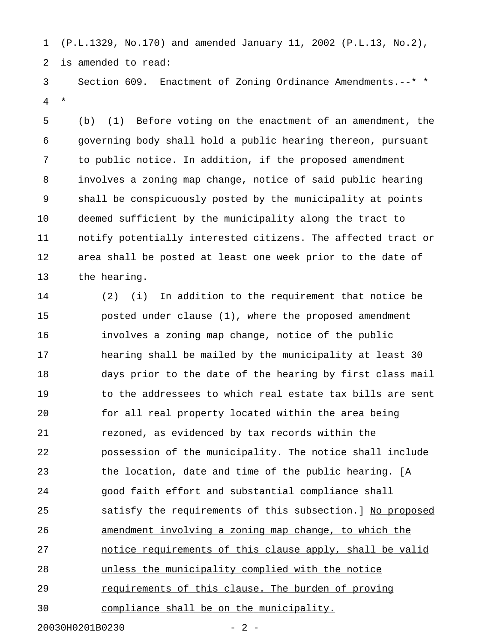1 (P.L.1329, No.170) and amended January 11, 2002 (P.L.13, No.2), 2 is amended to read:

3 Section 609. Enactment of Zoning Ordinance Amendments.--\* \* 4 \*

5 (b) (1) Before voting on the enactment of an amendment, the 6 governing body shall hold a public hearing thereon, pursuant 7 to public notice. In addition, if the proposed amendment 8 involves a zoning map change, notice of said public hearing 9 shall be conspicuously posted by the municipality at points 10 deemed sufficient by the municipality along the tract to 11 notify potentially interested citizens. The affected tract or 12 area shall be posted at least one week prior to the date of 13 the hearing.

14 (2) (i) In addition to the requirement that notice be 15 posted under clause (1), where the proposed amendment 16 involves a zoning map change, notice of the public 17 hearing shall be mailed by the municipality at least 30 18 days prior to the date of the hearing by first class mail 19 to the addressees to which real estate tax bills are sent 20 for all real property located within the area being 21 rezoned, as evidenced by tax records within the 22 possession of the municipality. The notice shall include 23 the location, date and time of the public hearing. [A 24 good faith effort and substantial compliance shall 25 satisfy the requirements of this subsection.] No proposed 26 amendment involving a zoning map change, to which the 27 hotice requirements of this clause apply, shall be valid 28 unless the municipality complied with the notice 29 requirements of this clause. The burden of proving 30 compliance shall be on the municipality.

20030H0201B0230 - 2 -